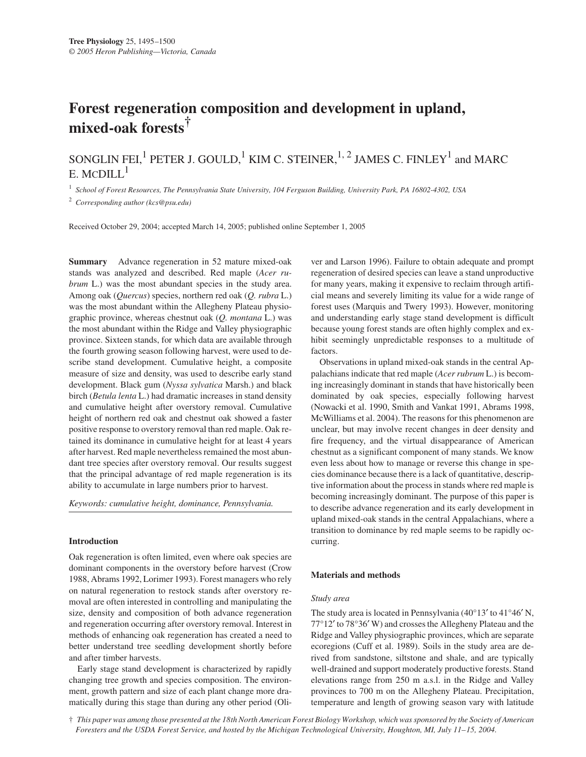# **Forest regeneration composition and development in upland, mixed-oak forests†**

# SONGLIN FEI,<sup>1</sup> PETER J. GOULD,<sup>1</sup> KIM C. STEINER,<sup>1, 2</sup> JAMES C. FINLEY<sup>1</sup> and MARC E. MCDILL $^1$

<sup>1</sup> *School of Forest Resources, The Pennsylvania State University, 104 Ferguson Building, University Park, PA 16802-4302, USA*

<sup>2</sup> *Corresponding author (kcs@psu.edu)*

Received October 29, 2004; accepted March 14, 2005; published online September 1, 2005

**Summary** Advance regeneration in 52 mature mixed-oak stands was analyzed and described. Red maple (*Acer rubrum* L.) was the most abundant species in the study area. Among oak (*Quercus*) species, northern red oak (*Q. rubra* L.) was the most abundant within the Allegheny Plateau physiographic province, whereas chestnut oak (*Q. montana* L.) was the most abundant within the Ridge and Valley physiographic province. Sixteen stands, for which data are available through the fourth growing season following harvest, were used to describe stand development. Cumulative height, a composite measure of size and density, was used to describe early stand development. Black gum (*Nyssa sylvatica* Marsh.) and black birch (*Betula lenta* L.) had dramatic increases in stand density and cumulative height after overstory removal. Cumulative height of northern red oak and chestnut oak showed a faster positive response to overstory removal than red maple. Oak retained its dominance in cumulative height for at least 4 years after harvest. Red maple nevertheless remained the most abundant tree species after overstory removal. Our results suggest that the principal advantage of red maple regeneration is its ability to accumulate in large numbers prior to harvest.

*Keywords: cumulative height, dominance, Pennsylvania.*

#### **Introduction**

Oak regeneration is often limited, even where oak species are dominant components in the overstory before harvest (Crow 1988, Abrams 1992, Lorimer 1993). Forest managers who rely on natural regeneration to restock stands after overstory removal are often interested in controlling and manipulating the size, density and composition of both advance regeneration and regeneration occurring after overstory removal. Interest in methods of enhancing oak regeneration has created a need to better understand tree seedling development shortly before and after timber harvests.

Early stage stand development is characterized by rapidly changing tree growth and species composition. The environment, growth pattern and size of each plant change more dramatically during this stage than during any other period (Oliver and Larson 1996). Failure to obtain adequate and prompt regeneration of desired species can leave a stand unproductive for many years, making it expensive to reclaim through artificial means and severely limiting its value for a wide range of forest uses (Marquis and Twery 1993). However, monitoring and understanding early stage stand development is difficult because young forest stands are often highly complex and exhibit seemingly unpredictable responses to a multitude of factors.

Observations in upland mixed-oak stands in the central Appalachians indicate that red maple (*Acer rubrum* L.) is becoming increasingly dominant in stands that have historically been dominated by oak species, especially following harvest (Nowacki et al. 1990, Smith and Vankat 1991, Abrams 1998, McWilliams et al. 2004). The reasons for this phenomenon are unclear, but may involve recent changes in deer density and fire frequency, and the virtual disappearance of American chestnut as a significant component of many stands. We know even less about how to manage or reverse this change in species dominance because there is a lack of quantitative, descriptive information about the process in stands where red maple is becoming increasingly dominant. The purpose of this paper is to describe advance regeneration and its early development in upland mixed-oak stands in the central Appalachians, where a transition to dominance by red maple seems to be rapidly occurring.

#### **Materials and methods**

## *Study area*

The study area is located in Pennsylvania (40°13′ to 41°46′ N, 77°12′ to 78°36′ W) and crosses the Allegheny Plateau and the Ridge and Valley physiographic provinces, which are separate ecoregions (Cuff et al. 1989). Soils in the study area are derived from sandstone, siltstone and shale, and are typically well-drained and support moderately productive forests. Stand elevations range from 250 m a.s.l. in the Ridge and Valley provinces to 700 m on the Allegheny Plateau. Precipitation, temperature and length of growing season vary with latitude

† *This paper was among those presented at the 18th North American Forest Biology Workshop, which was sponsored by the Society of American Foresters and the USDA Forest Service, and hosted by the Michigan Technological University, Houghton, MI, July 11–15, 2004.*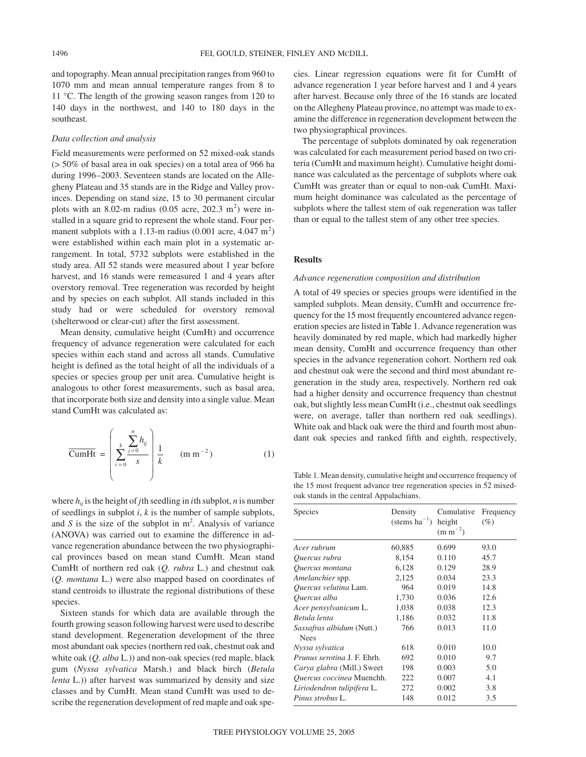and topography. Mean annual precipitation ranges from 960 to 1070 mm and mean annual temperature ranges from 8 to 11 °C. The length of the growing season ranges from 120 to 140 days in the northwest, and 140 to 180 days in the southeast.

#### *Data collection and analysis*

Field measurements were performed on 52 mixed-oak stands (> 50% of basal area in oak species) on a total area of 966 ha during 1996–2003. Seventeen stands are located on the Allegheny Plateau and 35 stands are in the Ridge and Valley provinces. Depending on stand size, 15 to 30 permanent circular plots with an 8.02-m radius  $(0.05 \text{ acre}, 202.3 \text{ m}^2)$  were installed in a square grid to represent the whole stand. Four permanent subplots with a 1.13-m radius  $(0.001 \text{ acre}, 4.047 \text{ m}^2)$ were established within each main plot in a systematic arrangement. In total, 5732 subplots were established in the study area. All 52 stands were measured about 1 year before harvest, and 16 stands were remeasured 1 and 4 years after overstory removal. Tree regeneration was recorded by height and by species on each subplot. All stands included in this study had or were scheduled for overstory removal (shelterwood or clear-cut) after the first assessment.

Mean density, cumulative height (CumHt) and occurrence frequency of advance regeneration were calculated for each species within each stand and across all stands. Cumulative height is defined as the total height of all the individuals of a species or species group per unit area. Cumulative height is analogous to other forest measurements, such as basal area, that incorporate both size and density into a single value. Mean stand CumHt was calculated as:

$$
\overline{\text{CumHt}} = \left( \sum_{i=0}^{k} \frac{\sum_{j=0}^{n} h_{ij}}{s} \right) \frac{1}{k} \quad (\text{m m}^{-2})
$$
 (1)

where *hij* is the height of *j*th seedling in *i*th subplot, *n* is number of seedlings in subplot *i*, *k* is the number of sample subplots, and  $S$  is the size of the subplot in  $m^2$ . Analysis of variance (ANOVA) was carried out to examine the difference in advance regeneration abundance between the two physiographical provinces based on mean stand CumHt. Mean stand CumHt of northern red oak (*Q. rubra* L.) and chestnut oak (*Q. montana* L.) were also mapped based on coordinates of stand centroids to illustrate the regional distributions of these species.

Sixteen stands for which data are available through the fourth growing season following harvest were used to describe stand development. Regeneration development of the three most abundant oak species (northern red oak, chestnut oak and white oak (*Q. alba* L.)) and non-oak species (red maple, black gum (*Nyssa sylvatica* Marsh.) and black birch (*Betula lenta* L.)) after harvest was summarized by density and size classes and by CumHt. Mean stand CumHt was used to describe the regeneration development of red maple and oak species. Linear regression equations were fit for CumHt of advance regeneration 1 year before harvest and 1 and 4 years after harvest. Because only three of the 16 stands are located on the Allegheny Plateau province, no attempt was made to examine the difference in regeneration development between the two physiographical provinces.

The percentage of subplots dominated by oak regeneration was calculated for each measurement period based on two criteria (CumHt and maximum height). Cumulative height dominance was calculated as the percentage of subplots where oak CumHt was greater than or equal to non-oak CumHt. Maximum height dominance was calculated as the percentage of subplots where the tallest stem of oak regeneration was taller than or equal to the tallest stem of any other tree species.

#### **Results**

### *Advance regeneration composition and distribution*

A total of 49 species or species groups were identified in the sampled subplots. Mean density, CumHt and occurrence frequency for the 15 most frequently encountered advance regeneration species are listed in Table 1. Advance regeneration was heavily dominated by red maple, which had markedly higher mean density, CumHt and occurrence frequency than other species in the advance regeneration cohort. Northern red oak and chestnut oak were the second and third most abundant regeneration in the study area, respectively. Northern red oak had a higher density and occurrence frequency than chestnut oak, but slightly less mean CumHt (i.e., chestnut oak seedlings were, on average, taller than northern red oak seedlings). White oak and black oak were the third and fourth most abundant oak species and ranked fifth and eighth, respectively,

Table 1. Mean density, cumulative height and occurrence frequency of the 15 most frequent advance tree regeneration species in 52 mixedoak stands in the central Appalachians.

| <b>Species</b>                                  | Density<br>$(\text{stems ha}^{-1})$ | Cumulative<br>height<br>$(m m^{-2})$ | Frequency<br>(%) |
|-------------------------------------------------|-------------------------------------|--------------------------------------|------------------|
| Acer rubrum                                     | 60,885                              | 0.699                                | 93.0             |
| Quercus rubra                                   | 8,154                               | 0.110                                | 45.7             |
| Quercus montana                                 | 6,128                               | 0.129                                | 28.9             |
| Amelanchier spp.                                | 2,125                               | 0.034                                | 23.3             |
| Quercus velutina Lam.                           | 964                                 | 0.019                                | 14.8             |
| Ouercus alba                                    | 1,730                               | 0.036                                | 12.6             |
| Acer pensylvanicum L.                           | 1,038                               | 0.038                                | 12.3             |
| Betula lenta                                    | 1,186                               | 0.032                                | 11.8             |
| <i>Sassafras albidum</i> (Nutt.)<br><b>Nees</b> | 766                                 | 0.013                                | 11.0             |
| Nyssa sylvatica                                 | 618                                 | 0.010                                | 10.0             |
| Prunus serotina J. F. Ehrh.                     | 692                                 | 0.010                                | 9.7              |
| Carya glabra (Mill.) Sweet                      | 198                                 | 0.003                                | 5.0              |
| Quercus coccinea Muenchh.                       | 222                                 | 0.007                                | 4.1              |
| Liriodendron tulipifera L.                      | 272                                 | 0.002                                | 3.8              |
| Pinus strobus L.                                | 148                                 | 0.012                                | 3.5              |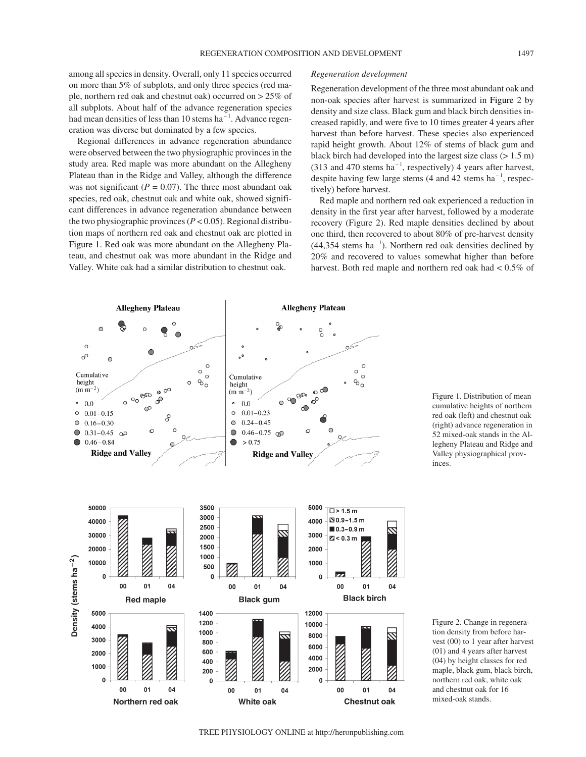# among all species in density. Overall, only 11 species occurred on more than 5% of subplots, and only three species (red maple, northern red oak and chestnut oak) occurred on > 25% of all subplots. About half of the advance regeneration species had mean densities of less than 10 stems  $ha^{-1}$ . Advance regeneration was diverse but dominated by a few species.

Regional differences in advance regeneration abundance were observed between the two physiographic provinces in the study area. Red maple was more abundant on the Allegheny Plateau than in the Ridge and Valley, although the difference was not significant  $(P = 0.07)$ . The three most abundant oak species, red oak, chestnut oak and white oak, showed significant differences in advance regeneration abundance between the two physiographic provinces  $(P < 0.05)$ . Regional distribution maps of northern red oak and chestnut oak are plotted in Figure 1. Red oak was more abundant on the Allegheny Plateau, and chestnut oak was more abundant in the Ridge and Valley. White oak had a similar distribution to chestnut oak.

### *Regeneration development*

Regeneration development of the three most abundant oak and non-oak species after harvest is summarized in Figure 2 by density and size class. Black gum and black birch densities increased rapidly, and were five to 10 times greater 4 years after harvest than before harvest. These species also experienced rapid height growth. About 12% of stems of black gum and black birch had developed into the largest size class (> 1.5 m) (313 and 470 stems  $ha^{-1}$ , respectively) 4 years after harvest, despite having few large stems  $(4 \text{ and } 42 \text{ stems ha}^{-1}, \text{respec-}$ tively) before harvest.

Red maple and northern red oak experienced a reduction in density in the first year after harvest, followed by a moderate recovery (Figure 2). Red maple densities declined by about one third, then recovered to about 80% of pre-harvest density  $(44,354 \text{ stems ha}^{-1})$ . Northern red oak densities declined by 20% and recovered to values somewhat higher than before harvest. Both red maple and northern red oak had < 0.5% of



Figure 1. Distribution of mean cumulative heights of northern red oak (left) and chestnut oak (right) advance regeneration in 52 mixed-oak stands in the Allegheny Plateau and Ridge and Valley physiographical provinces.

Figure 2. Change in regeneration density from before harvest (00) to 1 year after harvest (01) and 4 years after harvest (04) by height classes for red maple, black gum, black birch, northern red oak, white oak and chestnut oak for 16 mixed-oak stands.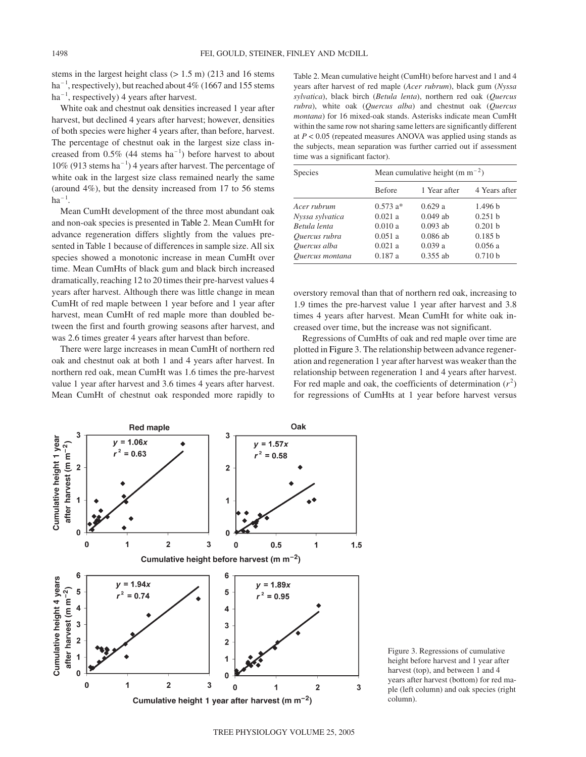stems in the largest height class (> 1.5 m) (213 and 16 stems  $ha^{-1}$ , respectively), but reached about 4% (1667 and 155 stems  $ha^{-1}$ , respectively) 4 years after harvest.

White oak and chestnut oak densities increased 1 year after harvest, but declined 4 years after harvest; however, densities of both species were higher 4 years after, than before, harvest. The percentage of chestnut oak in the largest size class increased from  $0.5\%$  (44 stems ha<sup>-1</sup>) before harvest to about  $10\%$  (913 stems ha<sup>-1</sup>) 4 years after harvest. The percentage of white oak in the largest size class remained nearly the same (around 4%), but the density increased from 17 to 56 stems  $ha^{-1}$ .

Mean CumHt development of the three most abundant oak and non-oak species is presented in Table 2. Mean CumHt for advance regeneration differs slightly from the values presented in Table 1 because of differences in sample size. All six species showed a monotonic increase in mean CumHt over time. Mean CumHts of black gum and black birch increased dramatically, reaching 12 to 20 times their pre-harvest values 4 years after harvest. Although there was little change in mean CumHt of red maple between 1 year before and 1 year after harvest, mean CumHt of red maple more than doubled between the first and fourth growing seasons after harvest, and was 2.6 times greater 4 years after harvest than before.

There were large increases in mean CumHt of northern red oak and chestnut oak at both 1 and 4 years after harvest. In northern red oak, mean CumHt was 1.6 times the pre-harvest value 1 year after harvest and 3.6 times 4 years after harvest. Mean CumHt of chestnut oak responded more rapidly to

Table 2. Mean cumulative height (CumHt) before harvest and 1 and 4 years after harvest of red maple (*Acer rubrum*), black gum (*Nyssa sylvatica*), black birch (*Betula lenta*), northern red oak (*Quercus rubra*), white oak (*Quercus alba*) and chestnut oak (*Quercus montana*) for 16 mixed-oak stands. Asterisks indicate mean CumHt within the same row not sharing same letters are significantly different at  $P < 0.05$  (repeated measures ANOVA was applied using stands as the subjects, mean separation was further carried out if assessment time was a significant factor).

| Species         | Mean cumulative height (m $m^{-2}$ ) |              |               |  |
|-----------------|--------------------------------------|--------------|---------------|--|
|                 | <b>Before</b>                        | 1 Year after | 4 Years after |  |
| Acer rubrum     | $0.573 a*$                           | 0.629a       | 1.496 b       |  |
| Nyssa sylvatica | 0.021a                               | $0.049$ ab   | 0.251 h       |  |
| Betula lenta    | 0.010a                               | $0.093$ ab   | 0.201 h       |  |
| Ouercus rubra   | 0.051a                               | $0.086$ ab   | 0.185h        |  |
| Ouercus alba    | 0.021a                               | 0.039a       | 0.056a        |  |
| Ouercus montana | 0.187a                               | $0.355$ ab   | 0.710 b       |  |

overstory removal than that of northern red oak, increasing to 1.9 times the pre-harvest value 1 year after harvest and 3.8 times 4 years after harvest. Mean CumHt for white oak increased over time, but the increase was not significant.

Regressions of CumHts of oak and red maple over time are plotted in Figure 3. The relationship between advance regeneration and regeneration 1 year after harvest was weaker than the relationship between regeneration 1 and 4 years after harvest. For red maple and oak, the coefficients of determination  $(r^2)$ for regressions of CumHts at 1 year before harvest versus



Figure 3. Regressions of cumulative height before harvest and 1 year after harvest (top), and between 1 and 4 years after harvest (bottom) for red maple (left column) and oak species (right column).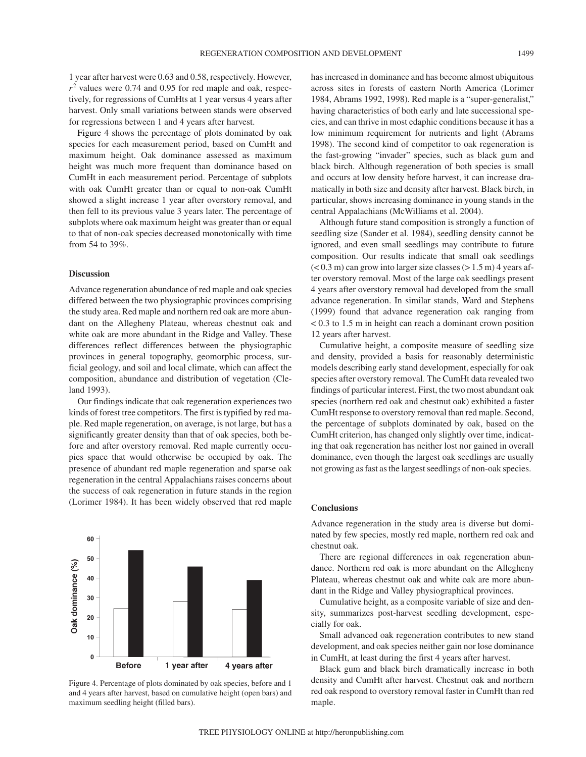1 year after harvest were 0.63 and 0.58, respectively. However,  $r<sup>2</sup>$  values were 0.74 and 0.95 for red maple and oak, respectively, for regressions of CumHts at 1 year versus 4 years after harvest. Only small variations between stands were observed for regressions between 1 and 4 years after harvest.

Figure 4 shows the percentage of plots dominated by oak species for each measurement period, based on CumHt and maximum height. Oak dominance assessed as maximum height was much more frequent than dominance based on CumHt in each measurement period. Percentage of subplots with oak CumHt greater than or equal to non-oak CumHt showed a slight increase 1 year after overstory removal, and then fell to its previous value 3 years later. The percentage of subplots where oak maximum height was greater than or equal to that of non-oak species decreased monotonically with time from 54 to 39%.

### **Discussion**

Advance regeneration abundance of red maple and oak species differed between the two physiographic provinces comprising the study area. Red maple and northern red oak are more abundant on the Allegheny Plateau, whereas chestnut oak and white oak are more abundant in the Ridge and Valley. These differences reflect differences between the physiographic provinces in general topography, geomorphic process, surficial geology, and soil and local climate, which can affect the composition, abundance and distribution of vegetation (Cleland 1993).

Our findings indicate that oak regeneration experiences two kinds of forest tree competitors. The first is typified by red maple. Red maple regeneration, on average, is not large, but has a significantly greater density than that of oak species, both before and after overstory removal. Red maple currently occupies space that would otherwise be occupied by oak. The presence of abundant red maple regeneration and sparse oak regeneration in the central Appalachians raises concerns about the success of oak regeneration in future stands in the region (Lorimer 1984). It has been widely observed that red maple





has increased in dominance and has become almost ubiquitous across sites in forests of eastern North America (Lorimer 1984, Abrams 1992, 1998). Red maple is a "super-generalist," having characteristics of both early and late successional species, and can thrive in most edaphic conditions because it has a low minimum requirement for nutrients and light (Abrams 1998). The second kind of competitor to oak regeneration is the fast-growing "invader" species, such as black gum and black birch. Although regeneration of both species is small and occurs at low density before harvest, it can increase dramatically in both size and density after harvest. Black birch, in particular, shows increasing dominance in young stands in the central Appalachians (McWilliams et al. 2004).

Although future stand composition is strongly a function of seedling size (Sander et al. 1984), seedling density cannot be ignored, and even small seedlings may contribute to future composition. Our results indicate that small oak seedlings  $(< 0.3$  m) can grow into larger size classes  $(> 1.5$  m) 4 years after overstory removal. Most of the large oak seedlings present 4 years after overstory removal had developed from the small advance regeneration. In similar stands, Ward and Stephens (1999) found that advance regeneration oak ranging from < 0.3 to 1.5 m in height can reach a dominant crown position 12 years after harvest.

Cumulative height, a composite measure of seedling size and density, provided a basis for reasonably deterministic models describing early stand development, especially for oak species after overstory removal. The CumHt data revealed two findings of particular interest. First, the two most abundant oak species (northern red oak and chestnut oak) exhibited a faster CumHt response to overstory removal than red maple. Second, the percentage of subplots dominated by oak, based on the CumHt criterion, has changed only slightly over time, indicating that oak regeneration has neither lost nor gained in overall dominance, even though the largest oak seedlings are usually not growing as fast as the largest seedlings of non-oak species.

### **Conclusions**

Advance regeneration in the study area is diverse but dominated by few species, mostly red maple, northern red oak and chestnut oak.

There are regional differences in oak regeneration abundance. Northern red oak is more abundant on the Allegheny Plateau, whereas chestnut oak and white oak are more abundant in the Ridge and Valley physiographical provinces.

Cumulative height, as a composite variable of size and density, summarizes post-harvest seedling development, especially for oak.

Small advanced oak regeneration contributes to new stand development, and oak species neither gain nor lose dominance in CumHt, at least during the first 4 years after harvest.

Black gum and black birch dramatically increase in both density and CumHt after harvest. Chestnut oak and northern red oak respond to overstory removal faster in CumHt than red maple.